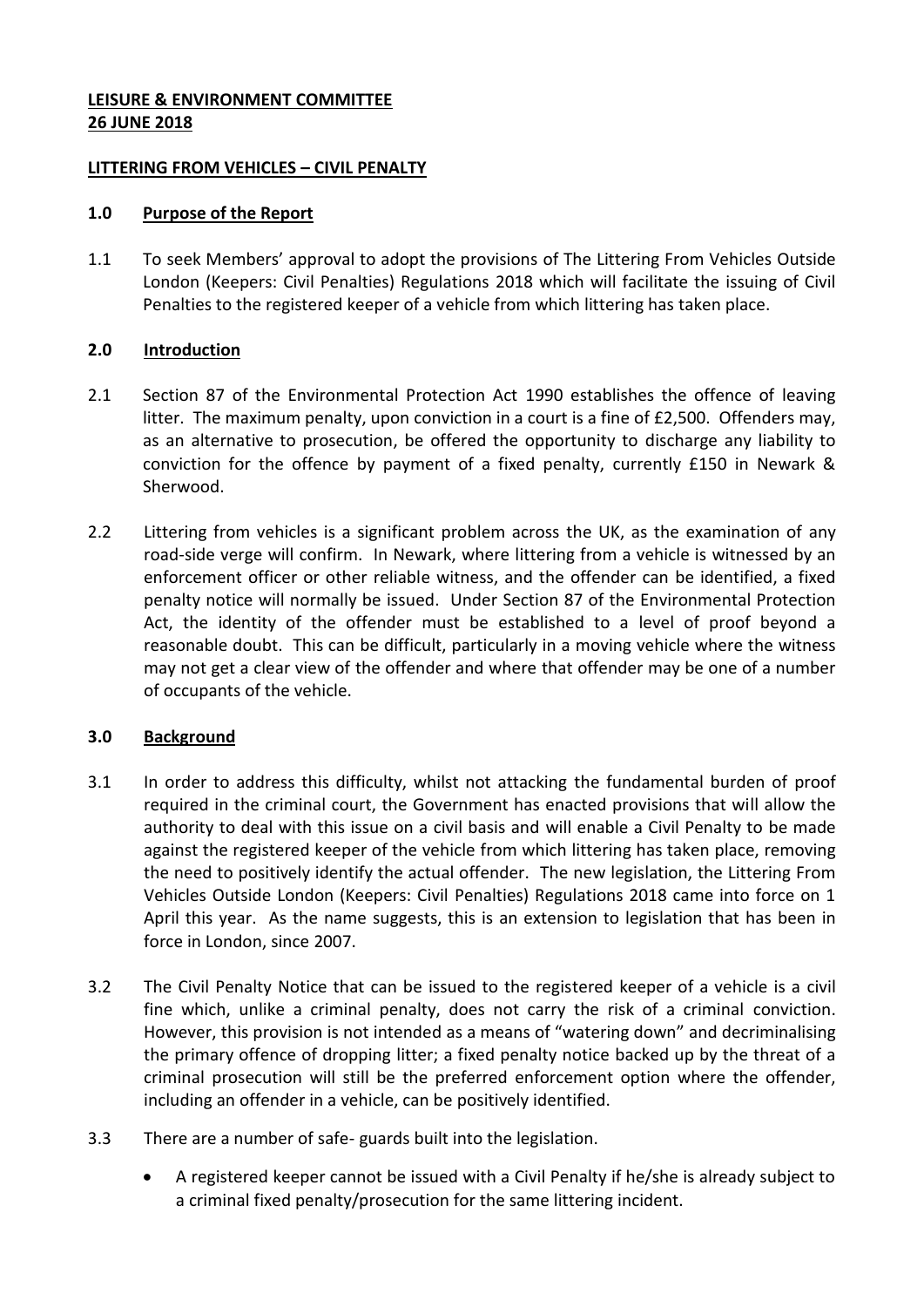## **LEISURE & ENVIRONMENT COMMITTEE 26 JUNE 2018**

### **LITTERING FROM VEHICLES – CIVIL PENALTY**

### **1.0 Purpose of the Report**

1.1 To seek Members' approval to adopt the provisions of The Littering From Vehicles Outside London (Keepers: Civil Penalties) Regulations 2018 which will facilitate the issuing of Civil Penalties to the registered keeper of a vehicle from which littering has taken place.

# **2.0 Introduction**

- 2.1 Section 87 of the Environmental Protection Act 1990 establishes the offence of leaving litter. The maximum penalty, upon conviction in a court is a fine of £2,500. Offenders may, as an alternative to prosecution, be offered the opportunity to discharge any liability to conviction for the offence by payment of a fixed penalty, currently £150 in Newark & Sherwood.
- 2.2 Littering from vehicles is a significant problem across the UK, as the examination of any road-side verge will confirm. In Newark, where littering from a vehicle is witnessed by an enforcement officer or other reliable witness, and the offender can be identified, a fixed penalty notice will normally be issued. Under Section 87 of the Environmental Protection Act, the identity of the offender must be established to a level of proof beyond a reasonable doubt. This can be difficult, particularly in a moving vehicle where the witness may not get a clear view of the offender and where that offender may be one of a number of occupants of the vehicle.

# **3.0 Background**

- 3.1 In order to address this difficulty, whilst not attacking the fundamental burden of proof required in the criminal court, the Government has enacted provisions that will allow the authority to deal with this issue on a civil basis and will enable a Civil Penalty to be made against the registered keeper of the vehicle from which littering has taken place, removing the need to positively identify the actual offender. The new legislation, the Littering From Vehicles Outside London (Keepers: Civil Penalties) Regulations 2018 came into force on 1 April this year. As the name suggests, this is an extension to legislation that has been in force in London, since 2007.
- 3.2 The Civil Penalty Notice that can be issued to the registered keeper of a vehicle is a civil fine which, unlike a criminal penalty, does not carry the risk of a criminal conviction. However, this provision is not intended as a means of "watering down" and decriminalising the primary offence of dropping litter; a fixed penalty notice backed up by the threat of a criminal prosecution will still be the preferred enforcement option where the offender, including an offender in a vehicle, can be positively identified.
- 3.3 There are a number of safe- guards built into the legislation.
	- A registered keeper cannot be issued with a Civil Penalty if he/she is already subject to a criminal fixed penalty/prosecution for the same littering incident.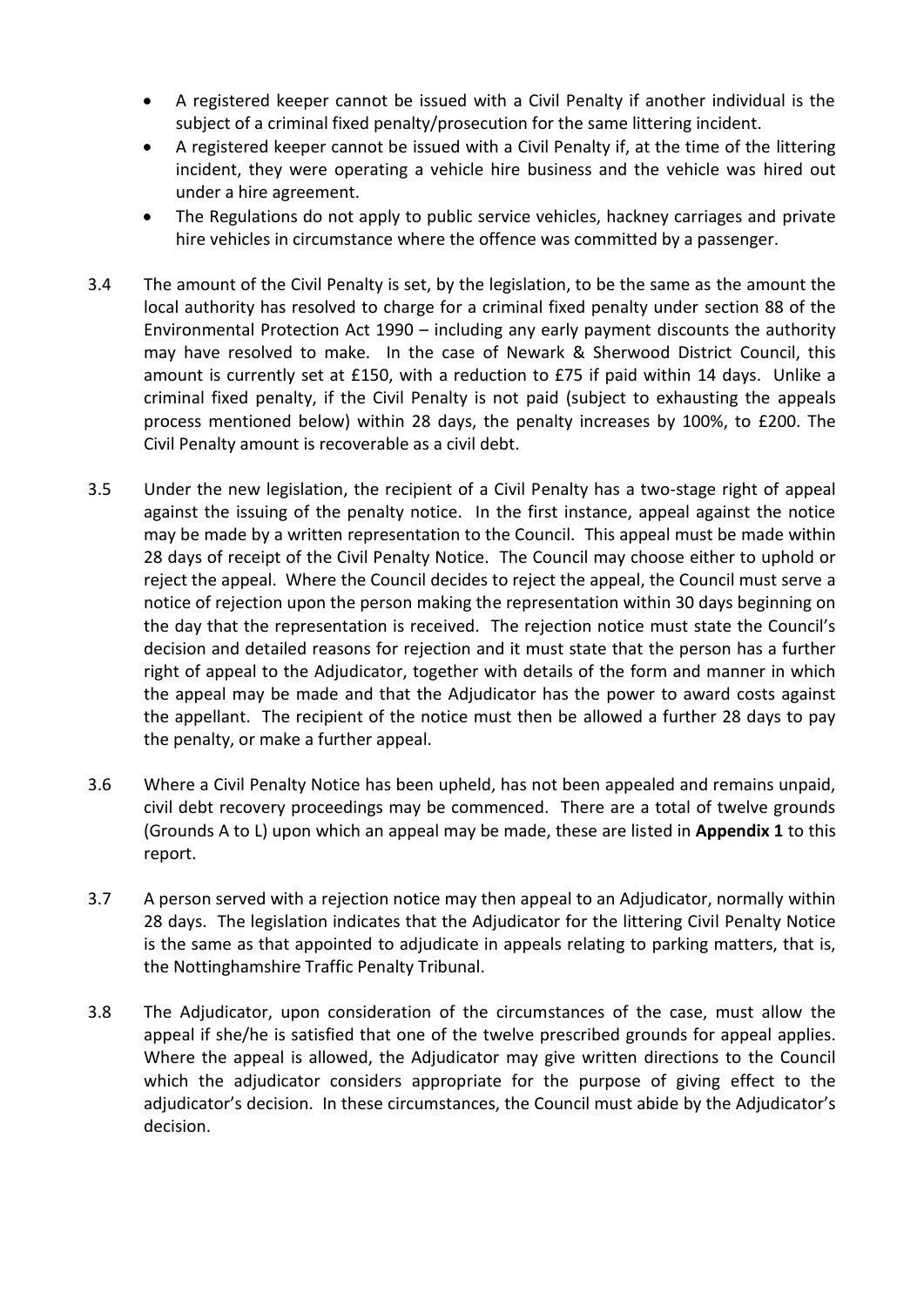- A registered keeper cannot be issued with a Civil Penalty if another individual is the subject of a criminal fixed penalty/prosecution for the same littering incident.
- A registered keeper cannot be issued with a Civil Penalty if, at the time of the littering incident, they were operating a vehicle hire business and the vehicle was hired out under a hire agreement.
- The Regulations do not apply to public service vehicles, hackney carriages and private hire vehicles in circumstance where the offence was committed by a passenger.
- 3.4 The amount of the Civil Penalty is set, by the legislation, to be the same as the amount the local authority has resolved to charge for a criminal fixed penalty under section 88 of the Environmental Protection Act 1990 – including any early payment discounts the authority may have resolved to make. In the case of Newark & Sherwood District Council, this amount is currently set at £150, with a reduction to £75 if paid within 14 days. Unlike a criminal fixed penalty, if the Civil Penalty is not paid (subject to exhausting the appeals process mentioned below) within 28 days, the penalty increases by 100%, to £200. The Civil Penalty amount is recoverable as a civil debt.
- 3.5 Under the new legislation, the recipient of a Civil Penalty has a two-stage right of appeal against the issuing of the penalty notice. In the first instance, appeal against the notice may be made by a written representation to the Council. This appeal must be made within 28 days of receipt of the Civil Penalty Notice. The Council may choose either to uphold or reject the appeal. Where the Council decides to reject the appeal, the Council must serve a notice of rejection upon the person making the representation within 30 days beginning on the day that the representation is received. The rejection notice must state the Council's decision and detailed reasons for rejection and it must state that the person has a further right of appeal to the Adjudicator, together with details of the form and manner in which the appeal may be made and that the Adjudicator has the power to award costs against the appellant. The recipient of the notice must then be allowed a further 28 days to pay the penalty, or make a further appeal.
- 3.6 Where a Civil Penalty Notice has been upheld, has not been appealed and remains unpaid, civil debt recovery proceedings may be commenced. There are a total of twelve grounds (Grounds A to L) upon which an appeal may be made, these are listed in **Appendix 1** to this report.
- 3.7 A person served with a rejection notice may then appeal to an Adjudicator, normally within 28 days. The legislation indicates that the Adjudicator for the littering Civil Penalty Notice is the same as that appointed to adjudicate in appeals relating to parking matters, that is, the Nottinghamshire Traffic Penalty Tribunal.
- 3.8 The Adjudicator, upon consideration of the circumstances of the case, must allow the appeal if she/he is satisfied that one of the twelve prescribed grounds for appeal applies. Where the appeal is allowed, the Adjudicator may give written directions to the Council which the adjudicator considers appropriate for the purpose of giving effect to the adjudicator's decision. In these circumstances, the Council must abide by the Adjudicator's decision.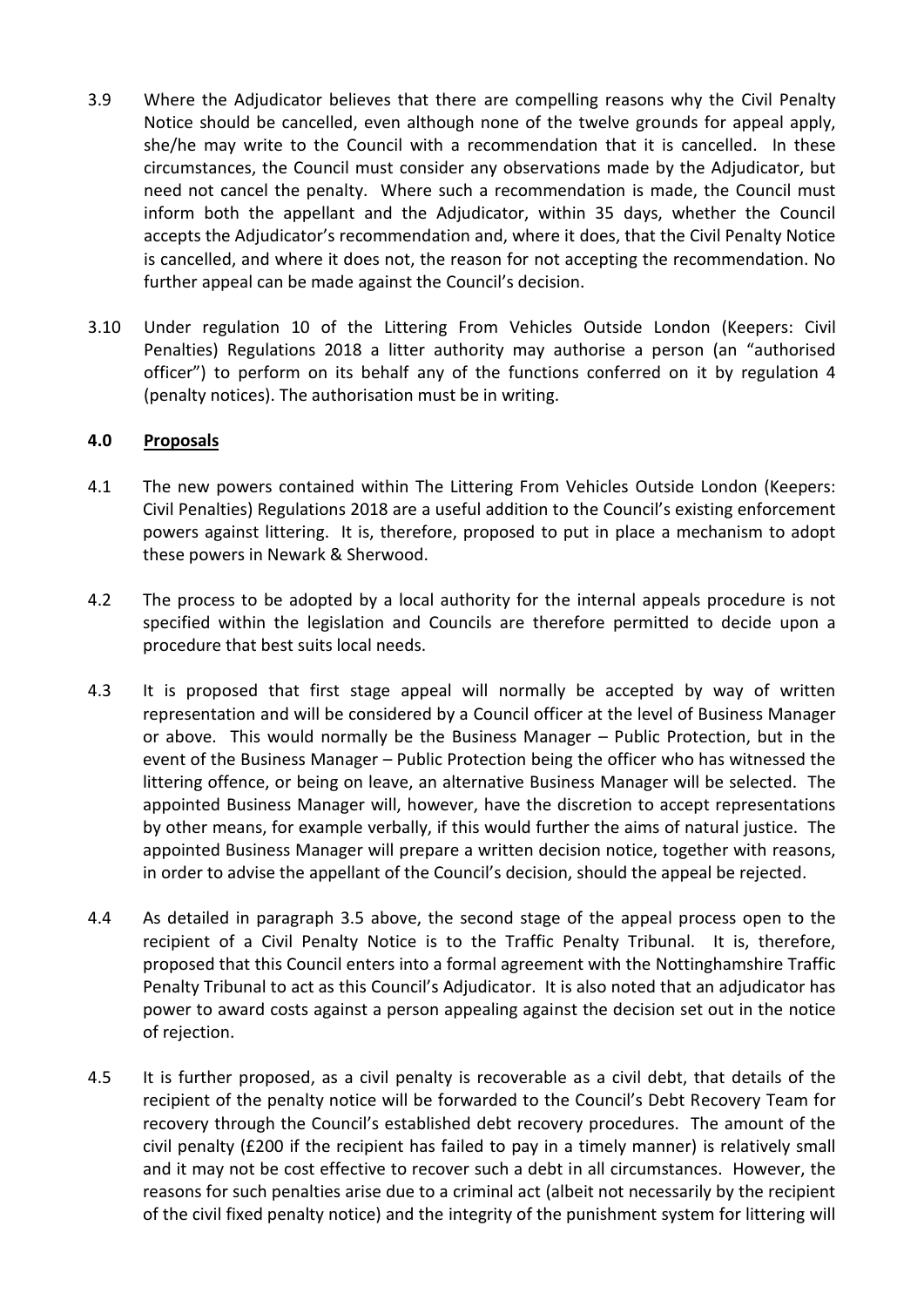- 3.9 Where the Adjudicator believes that there are compelling reasons why the Civil Penalty Notice should be cancelled, even although none of the twelve grounds for appeal apply, she/he may write to the Council with a recommendation that it is cancelled. In these circumstances, the Council must consider any observations made by the Adjudicator, but need not cancel the penalty. Where such a recommendation is made, the Council must inform both the appellant and the Adjudicator, within 35 days, whether the Council accepts the Adjudicator's recommendation and, where it does, that the Civil Penalty Notice is cancelled, and where it does not, the reason for not accepting the recommendation. No further appeal can be made against the Council's decision.
- 3.10 Under regulation 10 of the Littering From Vehicles Outside London (Keepers: Civil Penalties) Regulations 2018 a litter authority may authorise a person (an "authorised officer") to perform on its behalf any of the functions conferred on it by regulation 4 (penalty notices). The authorisation must be in writing.

### **4.0 Proposals**

- 4.1 The new powers contained within The Littering From Vehicles Outside London (Keepers: Civil Penalties) Regulations 2018 are a useful addition to the Council's existing enforcement powers against littering. It is, therefore, proposed to put in place a mechanism to adopt these powers in Newark & Sherwood.
- 4.2 The process to be adopted by a local authority for the internal appeals procedure is not specified within the legislation and Councils are therefore permitted to decide upon a procedure that best suits local needs.
- 4.3 It is proposed that first stage appeal will normally be accepted by way of written representation and will be considered by a Council officer at the level of Business Manager or above. This would normally be the Business Manager – Public Protection, but in the event of the Business Manager – Public Protection being the officer who has witnessed the littering offence, or being on leave, an alternative Business Manager will be selected. The appointed Business Manager will, however, have the discretion to accept representations by other means, for example verbally, if this would further the aims of natural justice. The appointed Business Manager will prepare a written decision notice, together with reasons, in order to advise the appellant of the Council's decision, should the appeal be rejected.
- 4.4 As detailed in paragraph 3.5 above, the second stage of the appeal process open to the recipient of a Civil Penalty Notice is to the Traffic Penalty Tribunal. It is, therefore, proposed that this Council enters into a formal agreement with the Nottinghamshire Traffic Penalty Tribunal to act as this Council's Adjudicator. It is also noted that an adjudicator has power to award costs against a person appealing against the decision set out in the notice of rejection.
- 4.5 It is further proposed, as a civil penalty is recoverable as a civil debt, that details of the recipient of the penalty notice will be forwarded to the Council's Debt Recovery Team for recovery through the Council's established debt recovery procedures. The amount of the civil penalty (£200 if the recipient has failed to pay in a timely manner) is relatively small and it may not be cost effective to recover such a debt in all circumstances. However, the reasons for such penalties arise due to a criminal act (albeit not necessarily by the recipient of the civil fixed penalty notice) and the integrity of the punishment system for littering will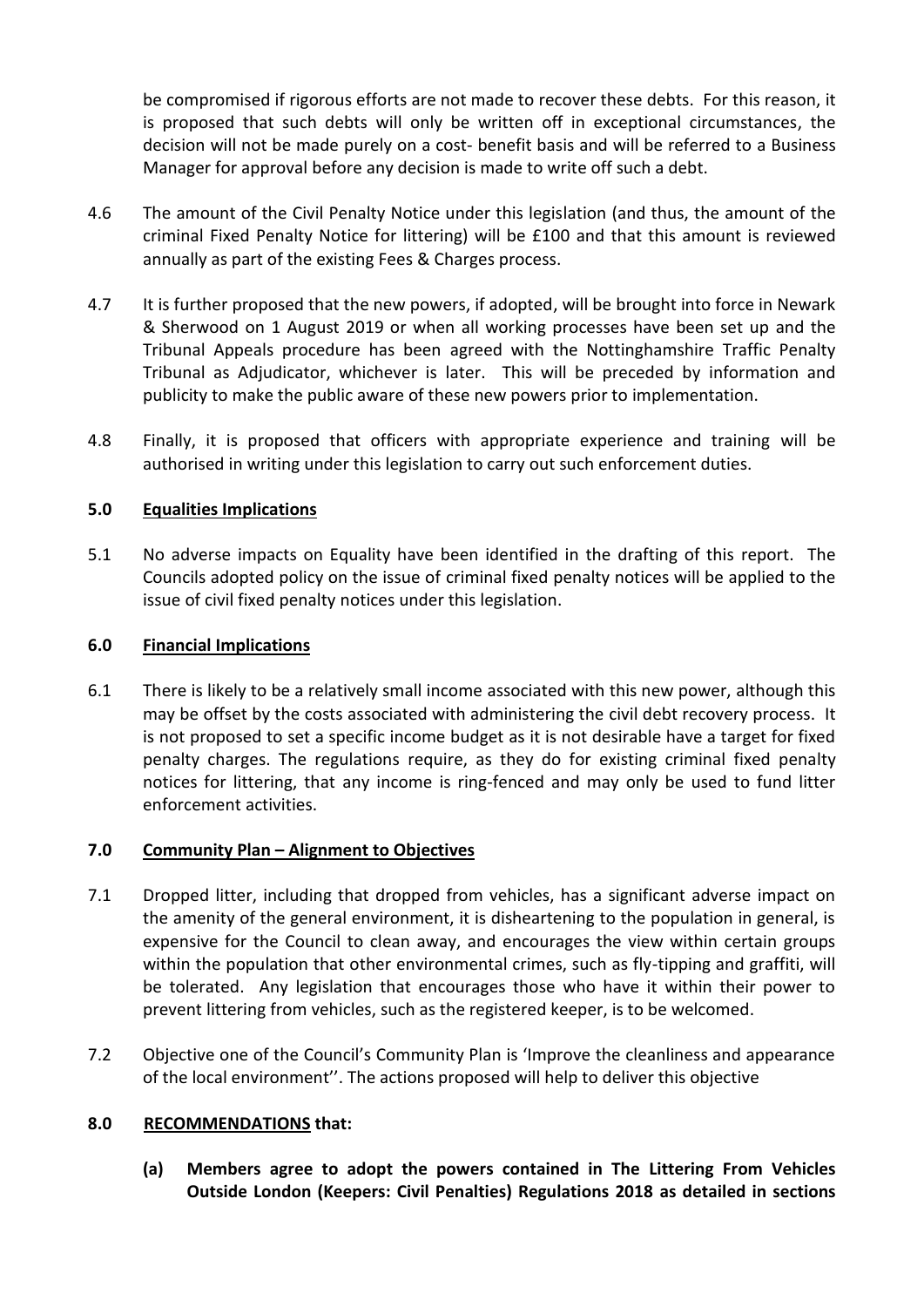be compromised if rigorous efforts are not made to recover these debts. For this reason, it is proposed that such debts will only be written off in exceptional circumstances, the decision will not be made purely on a cost- benefit basis and will be referred to a Business Manager for approval before any decision is made to write off such a debt.

- 4.6 The amount of the Civil Penalty Notice under this legislation (and thus, the amount of the criminal Fixed Penalty Notice for littering) will be £100 and that this amount is reviewed annually as part of the existing Fees & Charges process.
- 4.7 It is further proposed that the new powers, if adopted, will be brought into force in Newark & Sherwood on 1 August 2019 or when all working processes have been set up and the Tribunal Appeals procedure has been agreed with the Nottinghamshire Traffic Penalty Tribunal as Adjudicator, whichever is later. This will be preceded by information and publicity to make the public aware of these new powers prior to implementation.
- 4.8 Finally, it is proposed that officers with appropriate experience and training will be authorised in writing under this legislation to carry out such enforcement duties.

# **5.0 Equalities Implications**

5.1 No adverse impacts on Equality have been identified in the drafting of this report. The Councils adopted policy on the issue of criminal fixed penalty notices will be applied to the issue of civil fixed penalty notices under this legislation.

#### **6.0 Financial Implications**

6.1 There is likely to be a relatively small income associated with this new power, although this may be offset by the costs associated with administering the civil debt recovery process. It is not proposed to set a specific income budget as it is not desirable have a target for fixed penalty charges. The regulations require, as they do for existing criminal fixed penalty notices for littering, that any income is ring-fenced and may only be used to fund litter enforcement activities.

#### **7.0 Community Plan – Alignment to Objectives**

- 7.1 Dropped litter, including that dropped from vehicles, has a significant adverse impact on the amenity of the general environment, it is disheartening to the population in general, is expensive for the Council to clean away, and encourages the view within certain groups within the population that other environmental crimes, such as fly-tipping and graffiti, will be tolerated. Any legislation that encourages those who have it within their power to prevent littering from vehicles, such as the registered keeper, is to be welcomed.
- 7.2 Objective one of the Council's Community Plan is 'Improve the cleanliness and appearance of the local environment''. The actions proposed will help to deliver this objective

#### **8.0 RECOMMENDATIONS that:**

**(a) Members agree to adopt the powers contained in The Littering From Vehicles Outside London (Keepers: Civil Penalties) Regulations 2018 as detailed in sections**